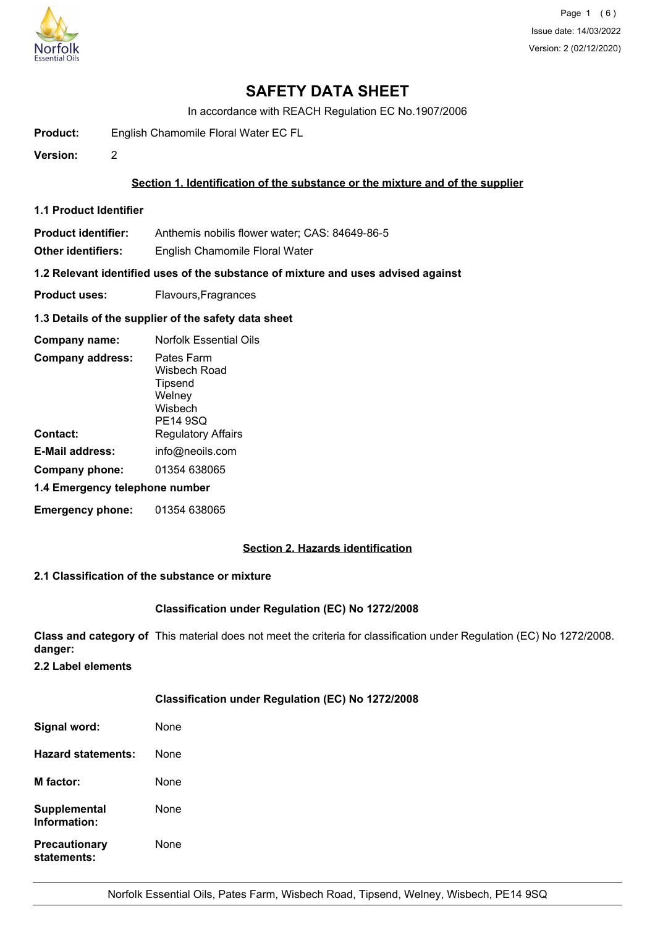

# **SAFETY DATA SHEET**

In accordance with REACH Regulation EC No.1907/2006

**Product:** English Chamomile Floral Water EC FL

**Version:** 2

## **Section 1. Identification of the substance or the mixture and of the supplier**

**1.1 Product Identifier**

**Product identifier:** Anthemis nobilis flower water; CAS: 84649-86-5

**Other identifiers:** English Chamomile Floral Water

**1.2 Relevant identified uses of the substance of mixture and uses advised against**

**Product uses:** Flavours, Fragrances

#### **1.3 Details of the supplier of the safety data sheet**

| Company name:                  | <b>Norfolk Essential Oils</b>                                          |  |
|--------------------------------|------------------------------------------------------------------------|--|
| <b>Company address:</b>        | Pates Farm<br>Wisbech Road<br>Tipsend<br>Welney<br>Wisbech<br>PE14 9SQ |  |
| Contact:                       | <b>Regulatory Affairs</b>                                              |  |
| <b>E-Mail address:</b>         | info@neoils.com                                                        |  |
| Company phone:                 | 01354 638065                                                           |  |
| 1.4 Emergency telephone number |                                                                        |  |
| <b>Emergency phone:</b>        | 01354 638065                                                           |  |

## **Section 2. Hazards identification**

## **2.1 Classification of the substance or mixture**

## **Classification under Regulation (EC) No 1272/2008**

**Class and category of** This material does not meet the criteria for classification under Regulation (EC) No 1272/2008. **danger:**

**2.2 Label elements**

## **Classification under Regulation (EC) No 1272/2008**

| Signal word:                        | None |
|-------------------------------------|------|
| Hazard statements:                  | None |
| <b>M</b> factor:                    | None |
| <b>Supplemental</b><br>Information: | None |
| <b>Precautionary</b><br>statements: | None |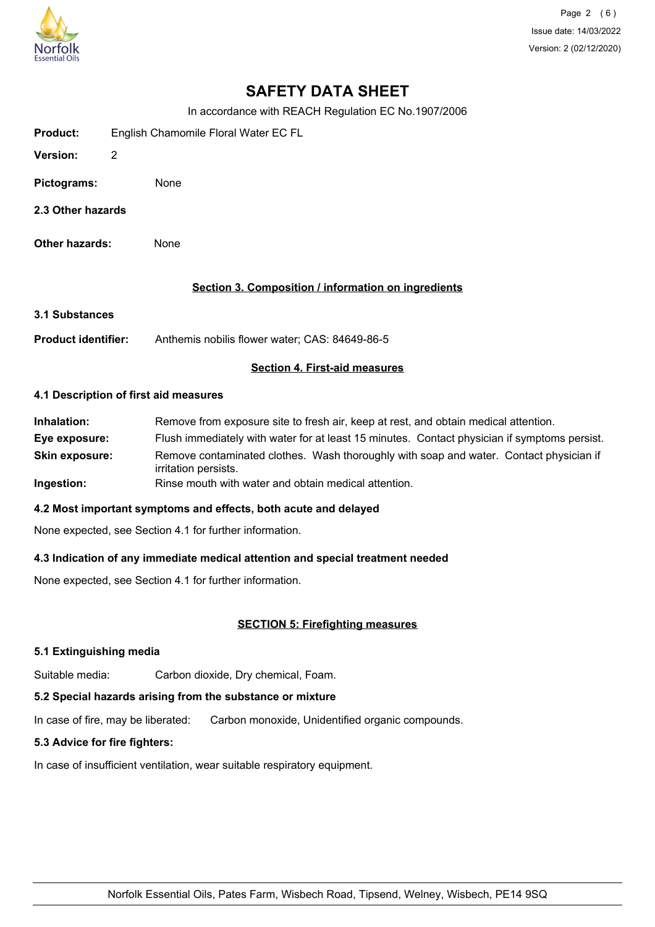

Page 2 (6) Issue date: 14/03/2022 Version: 2 (02/12/2020)

# **SAFETY DATA SHEET**

In accordance with REACH Regulation EC No.1907/2006

| <b>Product:</b> | English Chamomile Floral Water EC FL |
|-----------------|--------------------------------------|
|-----------------|--------------------------------------|

- **Version:** 2
- **Pictograms:** None
- **2.3 Other hazards**
- **Other hazards:** None

## **Section 3. Composition / information on ingredients**

- **3.1 Substances**
- **Product identifier:** Anthemis nobilis flower water; CAS: 84649-86-5

## **Section 4. First-aid measures**

#### **4.1 Description of first aid measures**

**Inhalation:** Remove from exposure site to fresh air, keep at rest, and obtain medical attention. **Eye exposure:** Flush immediately with water for at least 15 minutes. Contact physician if symptoms persist. **Skin exposure:** Remove contaminated clothes. Wash thoroughly with soap and water. Contact physician if irritation persists. **Ingestion:** Rinse mouth with water and obtain medical attention.

## **4.2 Most important symptoms and effects, both acute and delayed**

None expected, see Section 4.1 for further information.

## **4.3 Indication of any immediate medical attention and special treatment needed**

None expected, see Section 4.1 for further information.

## **SECTION 5: Firefighting measures**

## **5.1 Extinguishing media**

Suitable media: Carbon dioxide, Dry chemical, Foam.

## **5.2 Special hazards arising from the substance or mixture**

In case of fire, may be liberated: Carbon monoxide, Unidentified organic compounds.

## **5.3 Advice for fire fighters:**

In case of insufficient ventilation, wear suitable respiratory equipment.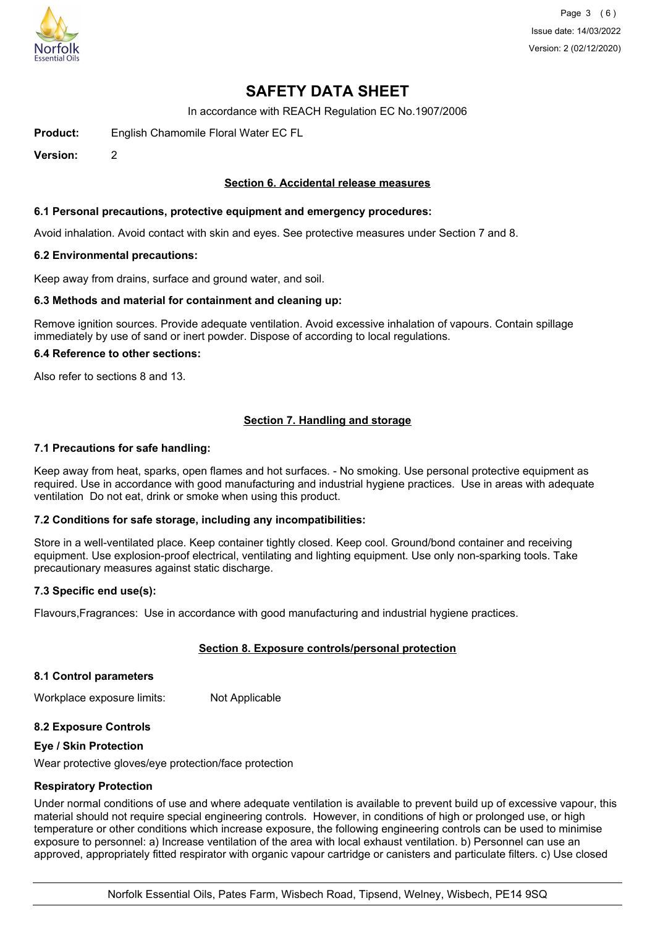

Page 3 (6) Issue date: 14/03/2022 Version: 2 (02/12/2020)

# **SAFETY DATA SHEET**

In accordance with REACH Regulation EC No.1907/2006

**Product:** English Chamomile Floral Water EC FL

**Version:** 2

### **Section 6. Accidental release measures**

#### **6.1 Personal precautions, protective equipment and emergency procedures:**

Avoid inhalation. Avoid contact with skin and eyes. See protective measures under Section 7 and 8.

#### **6.2 Environmental precautions:**

Keep away from drains, surface and ground water, and soil.

#### **6.3 Methods and material for containment and cleaning up:**

Remove ignition sources. Provide adequate ventilation. Avoid excessive inhalation of vapours. Contain spillage immediately by use of sand or inert powder. Dispose of according to local regulations.

#### **6.4 Reference to other sections:**

Also refer to sections 8 and 13.

## **Section 7. Handling and storage**

#### **7.1 Precautions for safe handling:**

Keep away from heat, sparks, open flames and hot surfaces. - No smoking. Use personal protective equipment as required. Use in accordance with good manufacturing and industrial hygiene practices. Use in areas with adequate ventilation Do not eat, drink or smoke when using this product.

#### **7.2 Conditions for safe storage, including any incompatibilities:**

Store in a well-ventilated place. Keep container tightly closed. Keep cool. Ground/bond container and receiving equipment. Use explosion-proof electrical, ventilating and lighting equipment. Use only non-sparking tools. Take precautionary measures against static discharge.

#### **7.3 Specific end use(s):**

Flavours,Fragrances: Use in accordance with good manufacturing and industrial hygiene practices.

## **Section 8. Exposure controls/personal protection**

#### **8.1 Control parameters**

Workplace exposure limits: Not Applicable

#### **8.2 Exposure Controls**

#### **Eye / Skin Protection**

Wear protective gloves/eye protection/face protection

#### **Respiratory Protection**

Under normal conditions of use and where adequate ventilation is available to prevent build up of excessive vapour, this material should not require special engineering controls. However, in conditions of high or prolonged use, or high temperature or other conditions which increase exposure, the following engineering controls can be used to minimise exposure to personnel: a) Increase ventilation of the area with local exhaust ventilation. b) Personnel can use an approved, appropriately fitted respirator with organic vapour cartridge or canisters and particulate filters. c) Use closed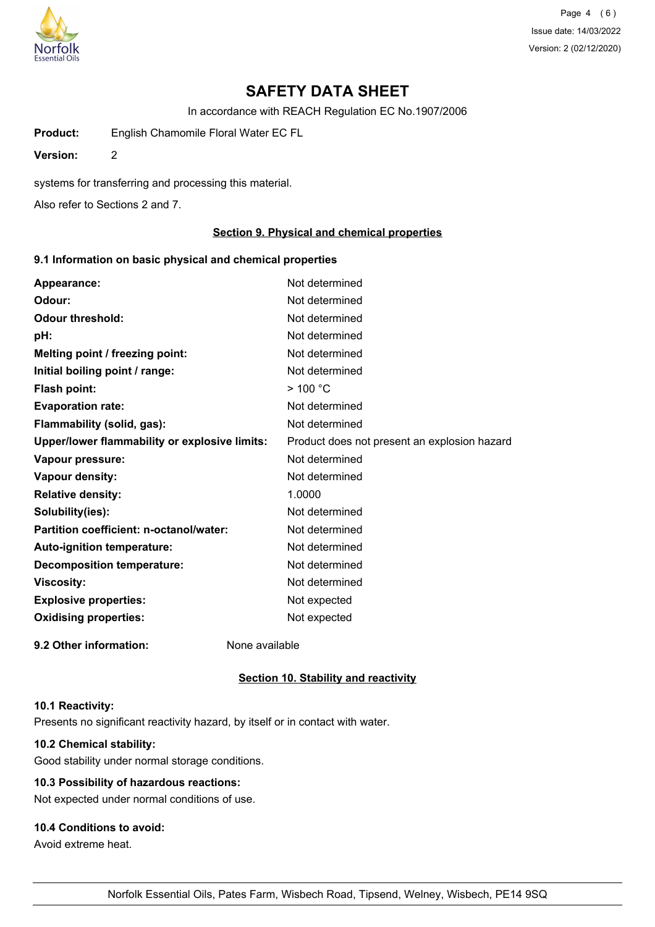

Page 4 (6) Issue date: 14/03/2022 Version: 2 (02/12/2020)

# **SAFETY DATA SHEET**

In accordance with REACH Regulation EC No.1907/2006

**Product:** English Chamomile Floral Water EC FL

**Version:** 2

systems for transferring and processing this material.

Also refer to Sections 2 and 7.

## **Section 9. Physical and chemical properties**

### **9.1 Information on basic physical and chemical properties**

| Appearance:                                   | Not determined                               |
|-----------------------------------------------|----------------------------------------------|
| Odour:                                        | Not determined                               |
| <b>Odour threshold:</b>                       | Not determined                               |
| pH:                                           | Not determined                               |
| Melting point / freezing point:               | Not determined                               |
| Initial boiling point / range:                | Not determined                               |
| Flash point:                                  | $>$ 100 °C                                   |
| <b>Evaporation rate:</b>                      | Not determined                               |
| Flammability (solid, gas):                    | Not determined                               |
| Upper/lower flammability or explosive limits: | Product does not present an explosion hazard |
| Vapour pressure:                              | Not determined                               |
| Vapour density:                               | Not determined                               |
| <b>Relative density:</b>                      | 1.0000                                       |
| Solubility(ies):                              | Not determined                               |
| Partition coefficient: n-octanol/water:       | Not determined                               |
| <b>Auto-ignition temperature:</b>             | Not determined                               |
| <b>Decomposition temperature:</b>             | Not determined                               |
| <b>Viscosity:</b>                             | Not determined                               |
| <b>Explosive properties:</b>                  | Not expected                                 |
| <b>Oxidising properties:</b>                  | Not expected                                 |
| 9.2 Other information:                        | None available                               |

#### **Section 10. Stability and reactivity**

#### **10.1 Reactivity:**

Presents no significant reactivity hazard, by itself or in contact with water.

## **10.2 Chemical stability:**

Good stability under normal storage conditions.

## **10.3 Possibility of hazardous reactions:**

Not expected under normal conditions of use.

## **10.4 Conditions to avoid:**

Avoid extreme heat.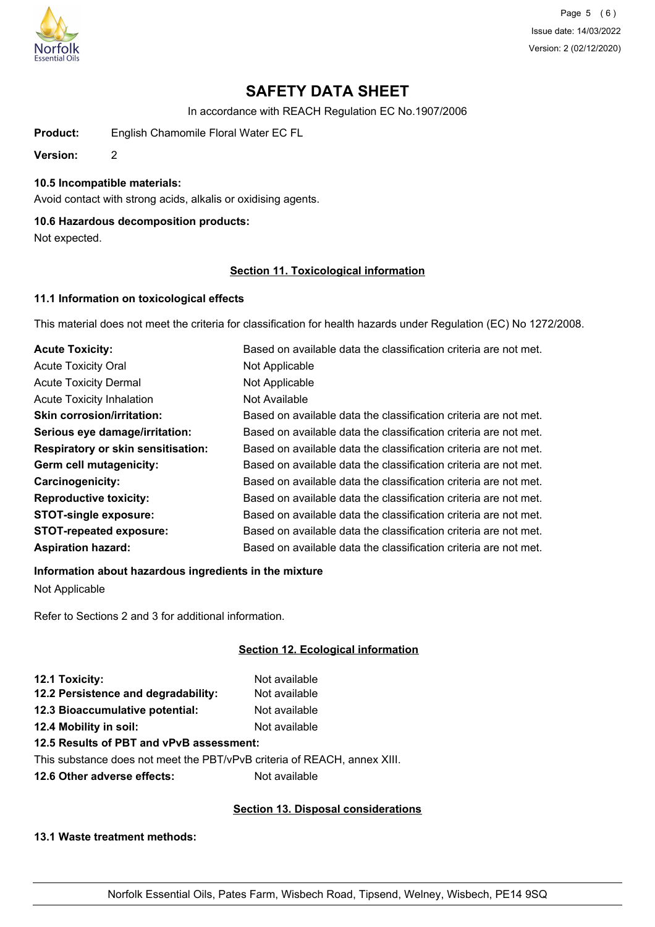

Page 5 (6) Issue date: 14/03/2022 Version: 2 (02/12/2020)

# **SAFETY DATA SHEET**

In accordance with REACH Regulation EC No.1907/2006

**Product:** English Chamomile Floral Water EC FL

**Version:** 2

## **10.5 Incompatible materials:**

Avoid contact with strong acids, alkalis or oxidising agents.

## **10.6 Hazardous decomposition products:**

Not expected.

## **Section 11. Toxicological information**

## **11.1 Information on toxicological effects**

This material does not meet the criteria for classification for health hazards under Regulation (EC) No 1272/2008.

| <b>Acute Toxicity:</b>                    | Based on available data the classification criteria are not met. |
|-------------------------------------------|------------------------------------------------------------------|
| <b>Acute Toxicity Oral</b>                | Not Applicable                                                   |
| <b>Acute Toxicity Dermal</b>              | Not Applicable                                                   |
| <b>Acute Toxicity Inhalation</b>          | Not Available                                                    |
| <b>Skin corrosion/irritation:</b>         | Based on available data the classification criteria are not met. |
| Serious eye damage/irritation:            | Based on available data the classification criteria are not met. |
| <b>Respiratory or skin sensitisation:</b> | Based on available data the classification criteria are not met. |
| Germ cell mutagenicity:                   | Based on available data the classification criteria are not met. |
| <b>Carcinogenicity:</b>                   | Based on available data the classification criteria are not met. |
| <b>Reproductive toxicity:</b>             | Based on available data the classification criteria are not met. |
| <b>STOT-single exposure:</b>              | Based on available data the classification criteria are not met. |
| <b>STOT-repeated exposure:</b>            | Based on available data the classification criteria are not met. |
| <b>Aspiration hazard:</b>                 | Based on available data the classification criteria are not met. |

# **Information about hazardous ingredients in the mixture**

Not Applicable

Refer to Sections 2 and 3 for additional information.

## **Section 12. Ecological information**

| 12.1 Toxicity:                      | Not available |
|-------------------------------------|---------------|
| 12.2 Persistence and degradability: | Not available |
| 12.3 Bioaccumulative potential:     | Not available |
| 12.4 Mobility in soil:              | Not available |
|                                     |               |

## **12.5 Results of PBT and vPvB assessment:**

This substance does not meet the PBT/vPvB criteria of REACH, annex XIII.

**12.6 Other adverse effects:** Not available

## **Section 13. Disposal considerations**

**13.1 Waste treatment methods:**